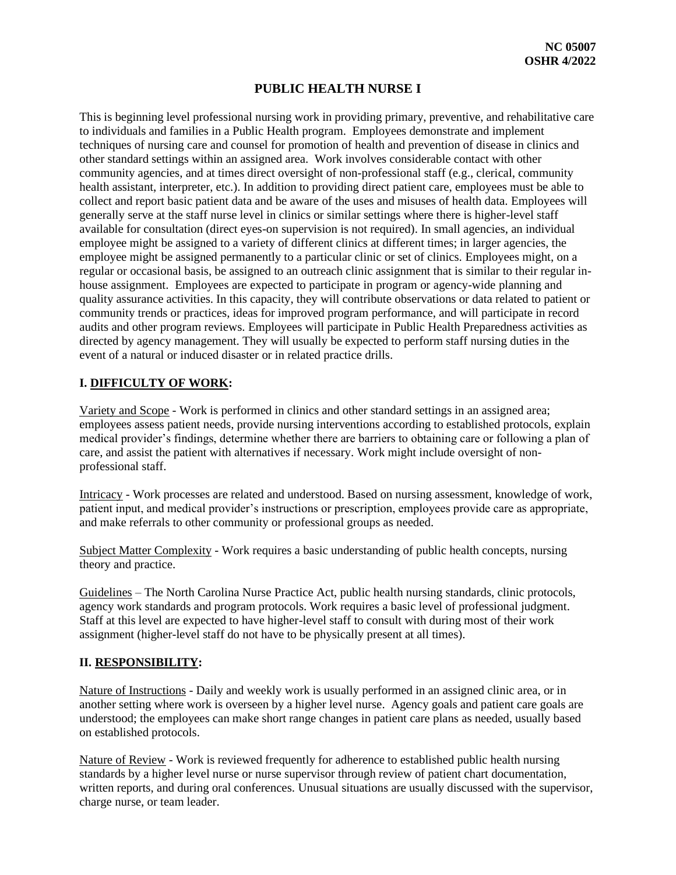## **PUBLIC HEALTH NURSE I**

This is beginning level professional nursing work in providing primary, preventive, and rehabilitative care to individuals and families in a Public Health program. Employees demonstrate and implement techniques of nursing care and counsel for promotion of health and prevention of disease in clinics and other standard settings within an assigned area. Work involves considerable contact with other community agencies, and at times direct oversight of non-professional staff (e.g., clerical, community health assistant, interpreter, etc.). In addition to providing direct patient care, employees must be able to collect and report basic patient data and be aware of the uses and misuses of health data. Employees will generally serve at the staff nurse level in clinics or similar settings where there is higher-level staff available for consultation (direct eyes-on supervision is not required). In small agencies, an individual employee might be assigned to a variety of different clinics at different times; in larger agencies, the employee might be assigned permanently to a particular clinic or set of clinics. Employees might, on a regular or occasional basis, be assigned to an outreach clinic assignment that is similar to their regular inhouse assignment. Employees are expected to participate in program or agency-wide planning and quality assurance activities. In this capacity, they will contribute observations or data related to patient or community trends or practices, ideas for improved program performance, and will participate in record audits and other program reviews. Employees will participate in Public Health Preparedness activities as directed by agency management. They will usually be expected to perform staff nursing duties in the event of a natural or induced disaster or in related practice drills.

## **I. DIFFICULTY OF WORK:**

Variety and Scope - Work is performed in clinics and other standard settings in an assigned area; employees assess patient needs, provide nursing interventions according to established protocols, explain medical provider's findings, determine whether there are barriers to obtaining care or following a plan of care, and assist the patient with alternatives if necessary. Work might include oversight of nonprofessional staff.

Intricacy - Work processes are related and understood. Based on nursing assessment, knowledge of work, patient input, and medical provider's instructions or prescription, employees provide care as appropriate, and make referrals to other community or professional groups as needed.

Subject Matter Complexity - Work requires a basic understanding of public health concepts, nursing theory and practice.

Guidelines – The North Carolina Nurse Practice Act, public health nursing standards, clinic protocols, agency work standards and program protocols. Work requires a basic level of professional judgment. Staff at this level are expected to have higher-level staff to consult with during most of their work assignment (higher-level staff do not have to be physically present at all times).

### **II. RESPONSIBILITY:**

Nature of Instructions - Daily and weekly work is usually performed in an assigned clinic area, or in another setting where work is overseen by a higher level nurse. Agency goals and patient care goals are understood; the employees can make short range changes in patient care plans as needed, usually based on established protocols.

Nature of Review - Work is reviewed frequently for adherence to established public health nursing standards by a higher level nurse or nurse supervisor through review of patient chart documentation, written reports, and during oral conferences. Unusual situations are usually discussed with the supervisor, charge nurse, or team leader.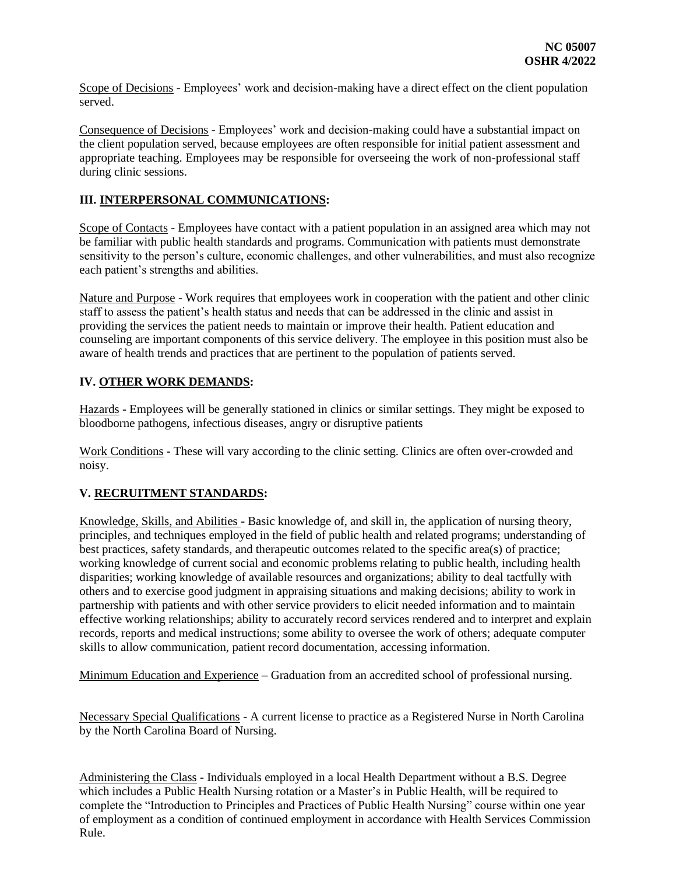Scope of Decisions - Employees' work and decision-making have a direct effect on the client population served.

Consequence of Decisions - Employees' work and decision-making could have a substantial impact on the client population served, because employees are often responsible for initial patient assessment and appropriate teaching. Employees may be responsible for overseeing the work of non-professional staff during clinic sessions.

### **III. INTERPERSONAL COMMUNICATIONS:**

Scope of Contacts - Employees have contact with a patient population in an assigned area which may not be familiar with public health standards and programs. Communication with patients must demonstrate sensitivity to the person's culture, economic challenges, and other vulnerabilities, and must also recognize each patient's strengths and abilities.

Nature and Purpose - Work requires that employees work in cooperation with the patient and other clinic staff to assess the patient's health status and needs that can be addressed in the clinic and assist in providing the services the patient needs to maintain or improve their health. Patient education and counseling are important components of this service delivery. The employee in this position must also be aware of health trends and practices that are pertinent to the population of patients served.

### **IV. OTHER WORK DEMANDS:**

Hazards - Employees will be generally stationed in clinics or similar settings. They might be exposed to bloodborne pathogens, infectious diseases, angry or disruptive patients

Work Conditions - These will vary according to the clinic setting. Clinics are often over-crowded and noisy.

# **V. RECRUITMENT STANDARDS:**

Knowledge, Skills, and Abilities - Basic knowledge of, and skill in, the application of nursing theory, principles, and techniques employed in the field of public health and related programs; understanding of best practices, safety standards, and therapeutic outcomes related to the specific area(s) of practice; working knowledge of current social and economic problems relating to public health, including health disparities; working knowledge of available resources and organizations; ability to deal tactfully with others and to exercise good judgment in appraising situations and making decisions; ability to work in partnership with patients and with other service providers to elicit needed information and to maintain effective working relationships; ability to accurately record services rendered and to interpret and explain records, reports and medical instructions; some ability to oversee the work of others; adequate computer skills to allow communication, patient record documentation, accessing information.

Minimum Education and Experience – Graduation from an accredited school of professional nursing.

Necessary Special Qualifications - A current license to practice as a Registered Nurse in North Carolina by the North Carolina Board of Nursing.

Administering the Class - Individuals employed in a local Health Department without a B.S. Degree which includes a Public Health Nursing rotation or a Master's in Public Health, will be required to complete the "Introduction to Principles and Practices of Public Health Nursing" course within one year of employment as a condition of continued employment in accordance with Health Services Commission Rule.